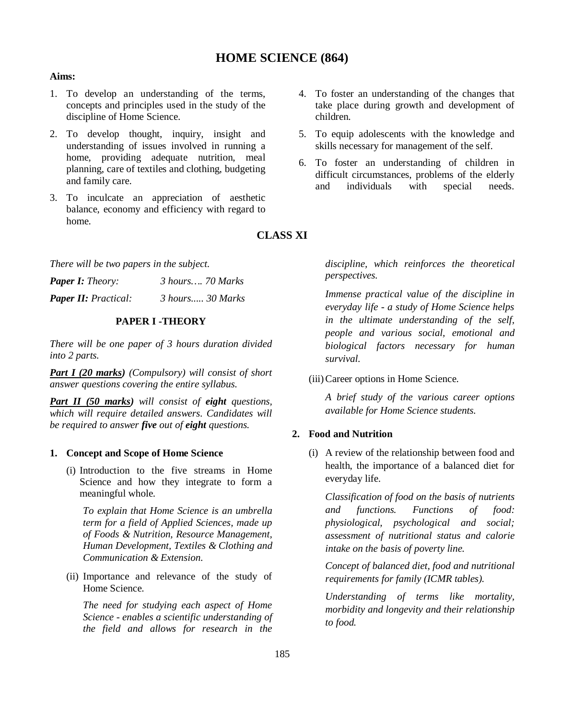# **HOME SCIENCE (864)**

# **Aims:**

- 1. To develop an understanding of the terms, concepts and principles used in the study of the discipline of Home Science.
- 2. To develop thought, inquiry, insight and understanding of issues involved in running a home, providing adequate nutrition, meal planning, care of textiles and clothing, budgeting and family care.
- 3. To inculcate an appreciation of aesthetic balance, economy and efficiency with regard to home.
- 4. To foster an understanding of the changes that take place during growth and development of children.
- 5. To equip adolescents with the knowledge and skills necessary for management of the self.
- 6. To foster an understanding of children in difficult circumstances, problems of the elderly and individuals with special needs.

**CLASS XI**

*There will be two papers in the subject.*

| <b>Paper I:</b> Theory:     | 3 hours 70 Marks |
|-----------------------------|------------------|
| <b>Paper II: Practical:</b> | 3 hours 30 Marks |

# **PAPER I -THEORY**

*There will be one paper of 3 hours duration divided into 2 parts.*

*Part I (20 marks) (Compulsory) will consist of short answer questions covering the entire syllabus.*

*Part II (50 marks) will consist of eight questions, which will require detailed answers. Candidates will be required to answer five out of eight questions.*

# **1. Concept and Scope of Home Science**

(i) Introduction to the five streams in Home Science and how they integrate to form a meaningful whole.

*To explain that Home Science is an umbrella term for a field of Applied Sciences, made up of Foods & Nutrition, Resource Management, Human Development, Textiles & Clothing and Communication & Extension.*

(ii) Importance and relevance of the study of Home Science.

*The need for studying each aspect of Home Science - enables a scientific understanding of the field and allows for research in the* 

*discipline, which reinforces the theoretical perspectives.* 

*Immense practical value of the discipline in everyday life - a study of Home Science helps in the ultimate understanding of the self, people and various social, emotional and biological factors necessary for human survival.*

(iii)Career options in Home Science.

*A brief study of the various career options available for Home Science students.* 

# **2. Food and Nutrition**

(i) A review of the relationship between food and health, the importance of a balanced diet for everyday life.

*Classification of food on the basis of nutrients and functions. Functions of food: physiological, psychological and social; assessment of nutritional status and calorie intake on the basis of poverty line.* 

*Concept of balanced diet, food and nutritional requirements for family (ICMR tables).* 

*Understanding of terms like mortality, morbidity and longevity and their relationship to food.*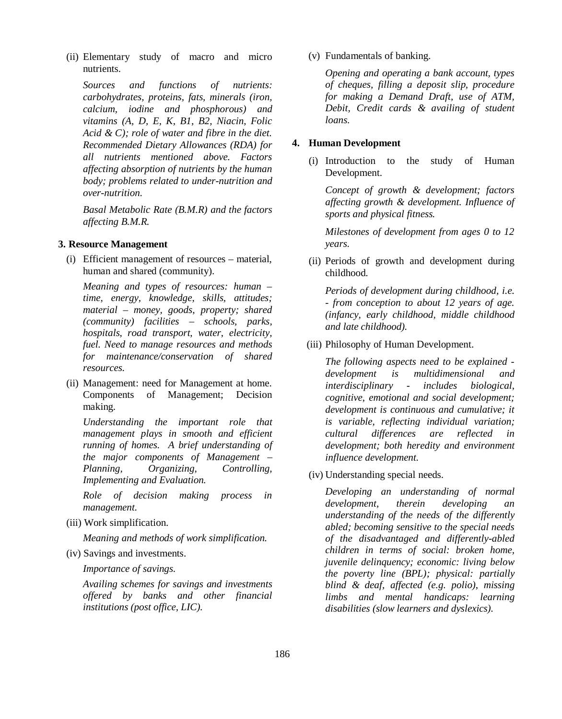(ii) Elementary study of macro and micro nutrients.

*Sources and functions of nutrients: carbohydrates, proteins, fats, minerals (iron, calcium, iodine and phosphorous) and vitamins (A, D, E, K, B1, B2, Niacin, Folic Acid & C); role of water and fibre in the diet. Recommended Dietary Allowances (RDA) for all nutrients mentioned above. Factors affecting absorption of nutrients by the human body; problems related to under-nutrition and over-nutrition.*

*Basal Metabolic Rate (B.M.R) and the factors affecting B.M.R.* 

### **3. Resource Management**

(i) Efficient management of resources – material, human and shared (community).

*Meaning and types of resources: human – time, energy, knowledge, skills, attitudes; material – money, goods, property; shared (community) facilities – schools, parks, hospitals, road transport, water, electricity, fuel. Need to manage resources and methods for maintenance/conservation of shared resources.*

(ii) Management: need for Management at home. Components of Management; Decision making.

*Understanding the important role that management plays in smooth and efficient running of homes. A brief understanding of the major components of Management – Planning, Organizing, Controlling, Implementing and Evaluation.* 

*Role of decision making process in management.*

(iii) Work simplification.

*Meaning and methods of work simplification.*

(iv) Savings and investments.

*Importance of savings.* 

*Availing schemes for savings and investments offered by banks and other financial institutions (post office, LIC).*

(v) Fundamentals of banking.

*Opening and operating a bank account, types of cheques, filling a deposit slip, procedure for making a Demand Draft, use of ATM, Debit, Credit cards & availing of student loans.*

#### **4. Human Development**

(i) Introduction to the study of Human Development.

*Concept of growth & development; factors affecting growth & development. Influence of sports and physical fitness.*

*Milestones of development from ages 0 to 12 years.*

(ii) Periods of growth and development during childhood.

*Periods of development during childhood, i.e. - from conception to about 12 years of age. (infancy, early childhood, middle childhood and late childhood).* 

(iii) Philosophy of Human Development.

*The following aspects need to be explained development is multidimensional and interdisciplinary - includes biological, cognitive, emotional and social development; development is continuous and cumulative; it is variable, reflecting individual variation; cultural differences are reflected development; both heredity and environment influence development.* 

(iv) Understanding special needs.

*Developing an understanding of normal development, therein developing an understanding of the needs of the differently abled; becoming sensitive to the special needs of the disadvantaged and differently-abled children in terms of social: broken home, juvenile delinquency; economic: living below the poverty line (BPL); physical: partially blind & deaf, affected (e.g. polio), missing limbs and mental handicaps: learning disabilities (slow learners and dyslexics).*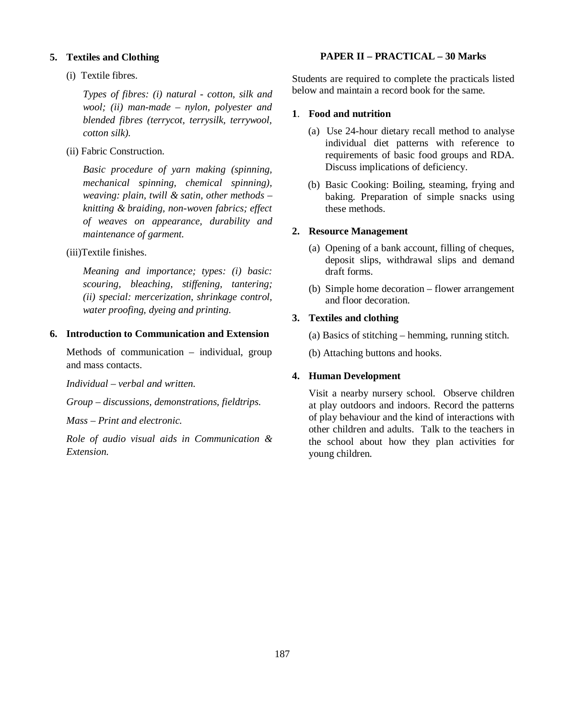#### **5. Textiles and Clothing**

(i) Textile fibres.

*Types of fibres: (i) natural - cotton, silk and wool; (ii) man-made – nylon, polyester and blended fibres (terrycot, terrysilk, terrywool, cotton silk).*

(ii) Fabric Construction.

*Basic procedure of yarn making (spinning, mechanical spinning, chemical spinning), weaving: plain, twill & satin, other methods – knitting & braiding, non-woven fabrics; effect of weaves on appearance, durability and maintenance of garment.*

(iii)Textile finishes.

*Meaning and importance; types: (i) basic: scouring, bleaching, stiffening, tantering; (ii) special: mercerization, shrinkage control, water proofing, dyeing and printing.*

# **6. Introduction to Communication and Extension**

Methods of communication – individual, group and mass contacts.

*Individual – verbal and written.*

*Group – discussions, demonstrations, fieldtrips.*

*Mass – Print and electronic.*

*Role of audio visual aids in Communication & Extension.*

#### **PAPER II – PRACTICAL – 30 Marks**

Students are required to complete the practicals listed below and maintain a record book for the same.

### **1**. **Food and nutrition**

- (a) Use 24-hour dietary recall method to analyse individual diet patterns with reference to requirements of basic food groups and RDA. Discuss implications of deficiency.
- (b) Basic Cooking: Boiling, steaming, frying and baking. Preparation of simple snacks using these methods.

#### **2. Resource Management**

- (a) Opening of a bank account, filling of cheques, deposit slips, withdrawal slips and demand draft forms.
- (b) Simple home decoration flower arrangement and floor decoration.

### **3. Textiles and clothing**

(a) Basics of stitching – hemming, running stitch.

(b) Attaching buttons and hooks.

#### **4. Human Development**

Visit a nearby nursery school. Observe children at play outdoors and indoors. Record the patterns of play behaviour and the kind of interactions with other children and adults. Talk to the teachers in the school about how they plan activities for young children.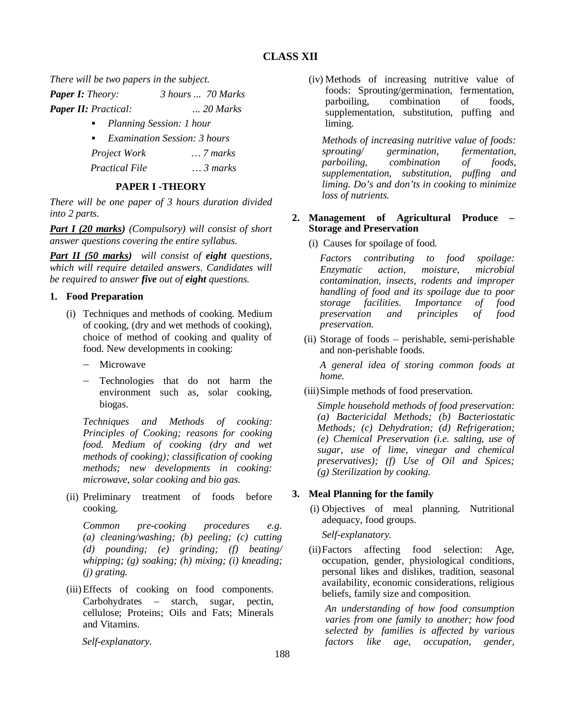# **CLASS XII**

*There will be two papers in the subject.*

| <b>Paper I:</b> Theory:     | 3 hours  70 Marks |
|-----------------------------|-------------------|
| <b>Paper II:</b> Practical: | $\ldots$ 20 Marks |

- *Planning Session: 1 hour*
- *Examination Session: 3 hours*

*Project Work … 7 marks*

 *Practical File … 3 marks*

# **PAPER I -THEORY**

*There will be one paper of 3 hours duration divided into 2 parts.*

*Part I (20 marks) (Compulsory) will consist of short answer questions covering the entire syllabus.*

*Part II (50 marks) will consist of eight questions, which will require detailed answers. Candidates will be required to answer five out of eight questions.*

# **1. Food Preparation**

- (i) Techniques and methods of cooking. Medium of cooking, (dry and wet methods of cooking), choice of method of cooking and quality of food. New developments in cooking:
	- Microwave
	- Technologies that do not harm the environment such as, solar cooking, biogas.

*Techniques and Methods of cooking: Principles of Cooking; reasons for cooking food. Medium of cooking (dry and wet methods of cooking); classification of cooking methods; new developments in cooking: microwave, solar cooking and bio gas.*

(ii) Preliminary treatment of foods before cooking.

*Common pre-cooking procedures e.g. (a) cleaning/washing; (b) peeling; (c) cutting (d) pounding; (e) grinding; (f) beating/ whipping; (g) soaking; (h) mixing; (i) kneading; (j) grating.* 

(iii)Effects of cooking on food components. Carbohydrates – starch, sugar, pectin, cellulose; Proteins; Oils and Fats; Minerals and Vitamins.

 *Self-explanatory.* 

(iv) Methods of increasing nutritive value of foods: Sprouting/germination, fermentation, parboiling, combination of foods, supplementation, substitution, puffing and liming.

*Methods of increasing nutritive value of foods: sprouting/ germination, fermentation, parboiling, combination of foods, supplementation, substitution, puffing and liming. Do's and don'ts in cooking to minimize loss of nutrients.* 

### **2. Management of Agricultural Produce – Storage and Preservation**

(i) Causes for spoilage of food.

*Factors contributing to food spoilage: Enzymatic action, moisture, microbial contamination, insects, rodents and improper handling of food and its spoilage due to poor storage facilities. Importance of food preservation and principles of food preservation.*

(ii) Storage of foods – perishable, semi-perishable and non-perishable foods.

*A general idea of storing common foods at home.*

(iii)Simple methods of food preservation.

*Simple household methods of food preservation: (a) Bactericidal Methods; (b) Bacteriostatic Methods; (c) Dehydration; (d) Refrigeration; (e) Chemical Preservation (i.e. salting, use of sugar, use of lime, vinegar and chemical preservatives); (f) Use of Oil and Spices; (g) Sterilization by cooking.* 

# **3. Meal Planning for the family**

(i) Objectives of meal planning. Nutritional adequacy, food groups.

*Self-explanatory.* 

(ii)Factors affecting food selection: Age, occupation, gender, physiological conditions, personal likes and dislikes, tradition, seasonal availability, economic considerations, religious beliefs, family size and composition.

*An understanding of how food consumption varies from one family to another; how food selected by families is affected by various factors like age, occupation, gender,*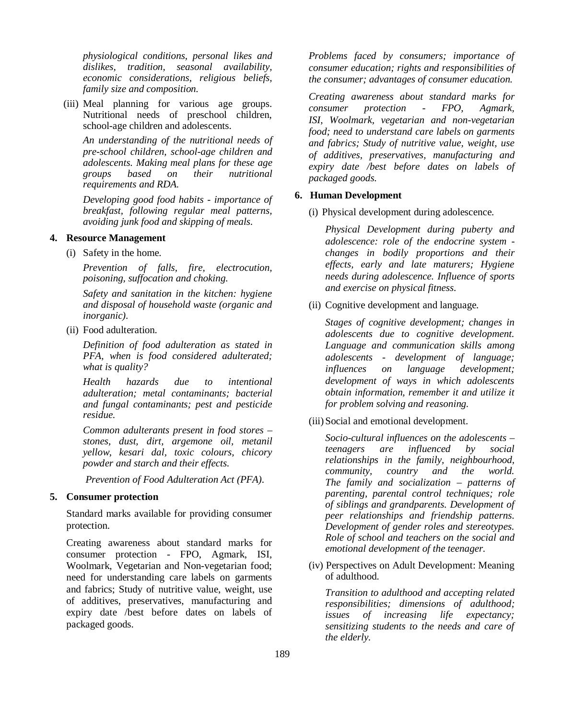*physiological conditions, personal likes and dislikes, tradition, seasonal availability, economic considerations, religious beliefs, family size and composition.*

(iii) Meal planning for various age groups. Nutritional needs of preschool children, school-age children and adolescents.

*An understanding of the nutritional needs of pre-school children, school-age children and adolescents. Making meal plans for these age groups based on their nutritional requirements and RDA.* 

*Developing good food habits - importance of breakfast, following regular meal patterns, avoiding junk food and skipping of meals.* 

### **4. Resource Management**

(i) Safety in the home.

*Prevention of falls, fire, electrocution, poisoning, suffocation and choking.*

*Safety and sanitation in the kitchen: hygiene and disposal of household waste (organic and inorganic).*

(ii) Food adulteration.

*Definition of food adulteration as stated in PFA, when is food considered adulterated; what is quality?* 

*Health hazards due to intentional adulteration; metal contaminants; bacterial and fungal contaminants; pest and pesticide residue.* 

*Common adulterants present in food stores – stones, dust, dirt, argemone oil, metanil yellow, kesari dal, toxic colours, chicory powder and starch and their effects.*

 *Prevention of Food Adulteration Act (PFA).*

# **5. Consumer protection**

Standard marks available for providing consumer protection.

Creating awareness about standard marks for consumer protection - FPO, Agmark, ISI, Woolmark, Vegetarian and Non-vegetarian food; need for understanding care labels on garments and fabrics; Study of nutritive value, weight, use of additives, preservatives, manufacturing and expiry date /best before dates on labels of packaged goods.

*Problems faced by consumers; importance of consumer education; rights and responsibilities of the consumer; advantages of consumer education.*

*Creating awareness about standard marks for consumer protection - FPO, Agmark, ISI, Woolmark, vegetarian and non-vegetarian food; need to understand care labels on garments and fabrics; Study of nutritive value, weight, use of additives, preservatives, manufacturing and expiry date /best before dates on labels of packaged goods.*

### **6. Human Development**

(i) Physical development during adolescence.

*Physical Development during puberty and adolescence: role of the endocrine system changes in bodily proportions and their effects, early and late maturers; Hygiene needs during adolescence. Influence of sports and exercise on physical fitness.* 

(ii) Cognitive development and language.

*Stages of cognitive development; changes in adolescents due to cognitive development. Language and communication skills among adolescents - development of language; influences on language development; development of ways in which adolescents obtain information, remember it and utilize it for problem solving and reasoning.* 

(iii) Social and emotional development.

*Socio-cultural influences on the adolescents – teenagers are influenced by social relationships in the family, neighbourhood, community, country and the world. The family and socialization – patterns of parenting, parental control techniques; role of siblings and grandparents. Development of peer relationships and friendship patterns. Development of gender roles and stereotypes. Role of school and teachers on the social and emotional development of the teenager.* 

(iv) Perspectives on Adult Development: Meaning of adulthood.

*Transition to adulthood and accepting related responsibilities; dimensions of adulthood; issues of increasing life expectancy; sensitizing students to the needs and care of the elderly.*